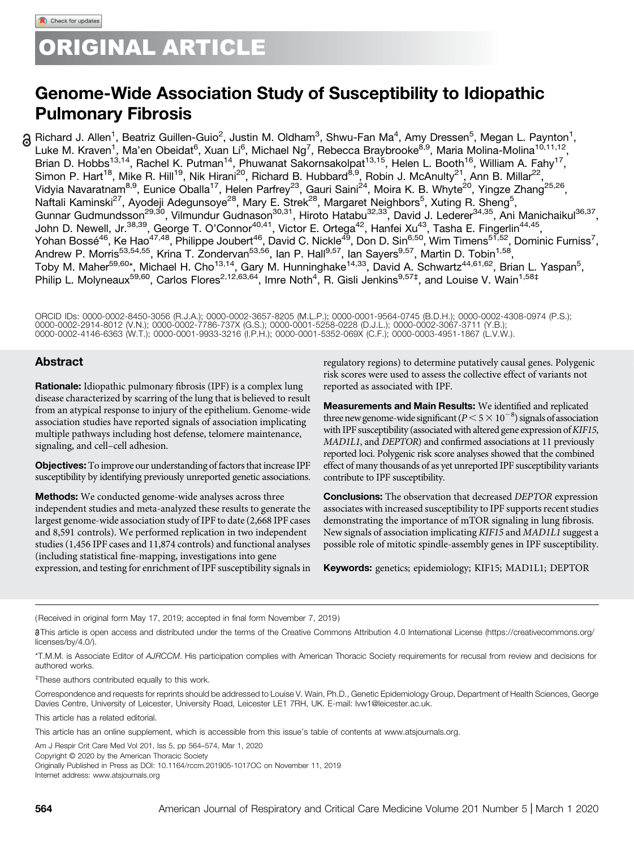# ORIGINAL ARTICLE

# Genome-Wide Association Study of Susceptibility to Idiopathic Pulmonary Fibrosis

Richard J. Allen<sup>1</sup>, Beatriz Guillen-Guio<sup>2</sup>, Justin M. Oldham<sup>3</sup>, Shwu-Fan Ma<sup>4</sup>, Amy Dressen<sup>5</sup>, Megan L. Paynton<sup>1</sup>, Luke M. Kraven<sup>1</sup>, Ma'en Obeidat<sup>6</sup>, Xuan Li<sup>6</sup>, Michael Ng<sup>7</sup>, Rebecca Braybrooke<sup>8,9</sup>, Maria Molina-Molina<sup>10,11,12</sup>, Brian D. Hobbs<sup>13,14</sup>, Rachel K. Putman<sup>14</sup>, Phuwanat Sakornsakolpat<sup>13,15</sup>, Helen L. Booth<sup>16</sup>, William A. Fahy<sup>17</sup>, Simon P. Hart<sup>18</sup>, Mike R. Hill<sup>19</sup>, Nik Hirani<sup>20</sup>, Richard B. Hubbard<sup>8,9</sup>, Robin J. McAnulty<sup>21</sup>, Ann B. Millar<sup>22</sup>, Vidyia Navaratnam<sup>8,9</sup>, Eunice Oballa<sup>17</sup>, Helen Parfrey<sup>23</sup>, Gauri Saini<sup>24</sup>, Moira K. B. Whyte<sup>20</sup>, Yingze Zhang<sup>25,26</sup>, Naftali Kaminski<sup>27</sup>, Ayodeji Adegunsoye<sup>28</sup>, Mary E. Strek<sup>28</sup>, Margaret Neighbors<sup>5</sup>, Xuting R. Sheng<sup>5</sup>, Gunnar Gudmundsson<sup>29,30</sup>, Vilmundur Gudnason<sup>30,31</sup>, Hiroto Hatabu<sup>32,33</sup>, David J. Lederer<sup>34,35</sup>, Ani Manichaikul<sup>36,37</sup>, John D. Newell, Jr.<sup>38,39</sup>, George T. O'Connor<sup>40,41</sup>, Victor E. Ortega<sup>42</sup>, Hanfei Xu<sup>43</sup>, Tasha E. Fingerlin<sup>44,45</sup>, Yohan Bossé<sup>46</sup>, Ke Hao<sup>47,48</sup>, Philippe Joubert<sup>46</sup>, David C. Nickle<sup>49</sup>, Don D. Sin<sup>6,50</sup>, Wim Timens<sup>51,52</sup>, Dominic Furniss<sup>7</sup>, Andrew P. Morris<sup>53,54,55</sup>, Krina T. Zondervan<sup>53,56</sup>, Ian P. Hall<sup>9,57</sup>, Ian Sayers<sup>9,57</sup>, Martin D. Tobin<sup>1,58</sup>, Toby M. Maher<sup>59,60</sup>\*, Michael H. Cho<sup>13,14</sup>, Gary M. Hunninghake<sup>14,33</sup>, David A. Schwartz<sup>44,61,62</sup>, Brian L. Yaspan<sup>5</sup>, Philip L. Molyneaux<sup>59,60</sup>, Carlos Flores<sup>2,12,63,64</sup>, Imre Noth<sup>4</sup>, R. Gisli Jenkins<sup>9,57‡</sup>, and Louise V. Wain<sup>1,58‡</sup>

ORCID IDs: [0000-0002-8450-3056](http://orcid.org/0000-0002-8450-3056) (R.J.A.); [0000-0002-3657-8205](http://orcid.org/0000-0002-3657-8205) (M.L.P.); [0000-0001-9564-0745](http://orcid.org/0000-0001-9564-0745) (B.D.H.); [0000-0002-4308-0974](http://orcid.org/0000-0002-4308-0974) (P.S.); [0000-0002-2914-8012](http://orcid.org/0000-0002-2914-8012) (V.N.); [0000-0002-7786-737X](http://orcid.org/0000-0002-7786-737X) (G.S.); [0000-0001-5258-0228](http://orcid.org/0000-0001-5258-0228) (D.J.L.); [0000-0002-3067-3711](http://orcid.org/0000-0002-3067-3711) (Y.B.);<br>[0000-0002-4146-6363](http://orcid.org/0000-0002-4146-6363) (W.T.); [0000-0001-9933-3216](http://orcid.org/0000-0001-9933-3216) (I.P.H.); [0000-0001-5352-069X](http://orcid.org/0000-0001-5352-069X) (C.F.); [0000-0003-4951-1867](http://orcid.org/0000-0003-4951-1867) (L

## Abstract

Rationale: Idiopathic pulmonary fibrosis (IPF) is a complex lung disease characterized by scarring of the lung that is believed to result from an atypical response to injury of the epithelium. Genome-wide association studies have reported signals of association implicating multiple pathways including host defense, telomere maintenance, signaling, and cell–cell adhesion.

Objectives: To improve our understanding of factors that increase IPF susceptibility by identifying previously unreported genetic associations.

**Methods:** We conducted genome-wide analyses across three independent studies and meta-analyzed these results to generate the largest genome-wide association study of IPF to date (2,668 IPF cases and 8,591 controls). We performed replication in two independent studies (1,456 IPF cases and 11,874 controls) and functional analyses (including statistical fine-mapping, investigations into gene expression, and testing for enrichment of IPF susceptibility signals in

regulatory regions) to determine putatively causal genes. Polygenic risk scores were used to assess the collective effect of variants not reported as associated with IPF.

Measurements and Main Results: We identified and replicated three new genome-wide significant ( $P < 5 \times 10^{-8}$ ) signals of association with IPF susceptibility (associated with altered gene expression of KIF15, MAD1L1, and DEPTOR) and confirmed associations at 11 previously reported loci. Polygenic risk score analyses showed that the combined effect of many thousands of as yet unreported IPF susceptibility variants contribute to IPF susceptibility.

**Conclusions:** The observation that decreased DEPTOR expression associates with increased susceptibility to IPF supports recent studies demonstrating the importance of mTOR signaling in lung fibrosis. New signals of association implicating KIF15 and MAD1L1 suggest a possible role of mitotic spindle-assembly genes in IPF susceptibility.

Keywords: genetics; epidemiology; KIF15; MAD1L1; DEPTOR

(Received in original form May 17, 2019; accepted in final form November 7, 2019 )

This article is open access and distributed under the terms of the Creative Commons Attribution 4.0 International License ([https://creativecommons.org/](https://creativecommons.org/licenses/by/4.0/) [licenses/by/4.0/](https://creativecommons.org/licenses/by/4.0/)).

\*T.M.M. is Associate Editor of AJRCCM. His participation complies with American Thoracic Society requirements for recusal from review and decisions for authored works.

‡ These authors contributed equally to this work.

Correspondence and requests for reprints should be addressed to Louise V. Wain, Ph.D., Genetic Epidemiology Group, Department of Health Sciences, George Davies Centre, University of Leicester, University Road, Leicester LE1 7RH, UK. E-mail: [lvw1@leicester.ac.uk.](mailto:lvw1@leicester.ac.uk)

[This article has a related editorial.](http://dx.doi.org/10.1164/rccm.201911-2286ED)

This article has an online supplement, which is accessible from this issue's table of contents at [www.atsjournals.org.](http://www.atsjournals.org)

Am J Respir Crit Care Med Vol 201, Iss 5, pp 564–574, Mar 1, 2020

Copyright © 2020 by the American Thoracic Society Originally Published in Press as DOI: [10.1164/rccm.201905-1017OC](http://dx.doi.org/10.1164/rccm.201905-1017OC) on November 11, 2019

Internet address: [www.atsjournals.org](http://www.atsjournals.org)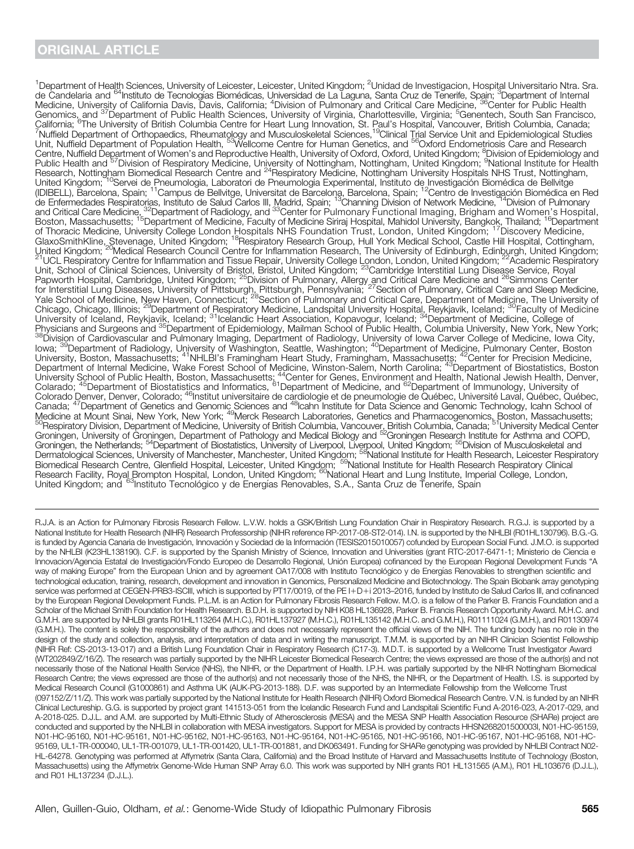<sup>1</sup>Department of Health Sciences, University of Leicester, Leicester, United Kingdom; <sup>2</sup>Unidad de Investigacion, Hospital Universitario Ntra. Sra. de Candelaria and <sup>64</sup>Instituto de Tecnologías Biomédicas, Universidad de La Laguna, Santa Cruz de Tenerife, Spain; <sup>3</sup>Department of Internal Medicine, University of California Davis, Davis, California; <sup>4</sup>Division of Pulmonary and Critical Care Medicine, <sup>36</sup>Center for Public Health Genomics, and <sup>37</sup>Department of Public Health Sciences, University of Virginia, Charlottesville, Virginia; <sup>5</sup>Genentech, South San Francisco,<br>California; <sup>6</sup>The University of British Columbia Centre for Heart Lung Innovati Unit, Nuffield Department of Population Health, <sup>53</sup>Wellcome Centre for Human Genetics, and <sup>56</sup>Oxford Endometriosis Care and Research Centre, Nuffield Department of Women's and Reproductive Health, University of Oxford, Oxford, United Kingdom; <sup>8</sup>Division of Epidemiology and<br>Public Health and <sup>57</sup>Division of Respiratory Medicine, University of Nottingham United Kingdom; <sup>10</sup>Servei de Pneumologia, Laboratori de Pneumologia Experimental, Instituto de Investigación Biomédica de Bellvitge (IDIBELL), Barcelona, Spain; <sup>11</sup>Campus de Bellvitge, Universitat de Barcelona, Barcelona, Spain; <sup>12</sup>Centro de Investigación Biomédica en Red de Enfermedades Respiratorias, Instituto de Salud Carlos III, Madrid, Spain; 13Channing Division of Network Medicine, 14Division of Pulmonary and Critical Care Medicine, <sup>32</sup>Department of Radiology, and <sup>33</sup>Center for Pulmonary Functional Imaging, Brigham and Women's Hospital, Boston, Massachusetts; 15Department of Medicine, Faculty of Medicine Siriraj Hospital, Mahidol University, Bangkok, Thailand; 16Department of Thoracic Medicine, University College London Hospitals NHS Foundation Trust, London, United Kingdom; 17Discovery Medicine, GlaxoSmithKline, Stevenage, United Kingdom; 18Respiratory Research Group, Hull York Medical School, Castle Hill Hospital, Cottingham, United Kingdom; <sup>'20</sup>Medical Research Council Centre for Inflammation Research, The University of Edinburgh, Edinburgh, United Kingdom;<br><sup>21</sup>UCL Respiratory Centre for Inflammation and Tissue Repair, University College Lond Unit, School of Clinical Sciences, University of Bristol, Bristol, United Kingdom; <sup>23</sup>Cambridge Interstitial Lung Disease Service, Royal Papworth Hospital, Cambridge, United Kingdom; <sup>25</sup>Division of Pulmonary, Allergy and Critical Care Medicine and <sup>26</sup>Simmons Center for Interstitial Lung Diseases, University of Pittsburgh, Pittsburgh, Pennsylvania; <sup>27</sup> Section of Pulmonary, Critical Care and Sleep Medicine, Yale School of Medicine, New Haven, Connecticut; <sup>28</sup>Section of Pulmonary and Critical Care, Department of Medicine, The University of Chicago, Chicago, Illinois; 29Department of Respiratory Medicine, Landspital University Hospital, Reykjavik, Iceland; 30Faculty of Medicine University of Iceland, Reykjavik, Iceland; <sup>31</sup>Icelandic Heart Association, Kopavogur, Iceland; <sup>34</sup>Department of Medicine, College of Physicians and Surgeons and <sup>35</sup>Department of Epidemiology, Mailman School of Public Health, Columbia University, New York, New York;<br><sup>38</sup>Division of Cardiovascular and Pulmonary Imaging, Department of Radiology, Universit Iowa; <sup>39</sup>Department of Radiology, University of Washington, Seattle, Washington; <sup>40</sup>Department of Medicine, Pulmonary Center, Boston University, Boston, Massachusetts; <sup>41</sup>NHLBI's Framingham Heart Study, Framingham, Massachusetts; <sup>42</sup>Center for Precision Medicine, Department of Internal Medicine, Wake Forest School of Medicine, Winston-Salem, North Carolina; <sup>43</sup>Department of Biostatistics, Boston University School of Public Health, Boston, Massachusetts; <sup>44</sup>Center for Genes, Environment and Health, National Jewish Health, Denver, Colarado; <sup>45</sup>Department of Biostatistics and Informatics, <sup>61</sup>Department of Medicine, and <sup>62</sup>Department of Immunology, University of Colorado Denver, Denver, Colorado; <sup>46</sup>Institut universitaire de cardiologie et de pneumologie de Québec, Université Laval, Québec, Québec, Canada; 47Department of Genetics and Genomic Sciences and 48Icahn Institute for Data Science and Genomic Technology, Icahn School of Medicine at Mount Sinai, New York, New York; <sup>49</sup>Merck Research Laboratories, Genetics and Pharmacogenomics, Boston, Massachusetts;<br><sup>50</sup>Respiratory Division, Department of Medicine, University of British Columbia, Vancouve Groningen, University of Groningen, Department of Pathology and Medical Biology and 52Groningen Research Institute for Asthma and COPD, Groningen, the Netherlands; 54Department of Biostatistics, University of Liverpool, Liverpool, United Kingdom; 55Division of Musculoskeletal and Dermatological Sciences, University of Manchester, Manchester, United Kingdom; <sup>58</sup>National Institute for Health Research, Leicester Respiratory Biomedical Research Centre, Glenfield Hospital, Leicester, United Kingdom; <sup>59</sup>National Institute for Health Research Respiratory Clinical Research Facility, Royal Brompton Hospital, London, United Kingdom; <sup>60</sup>National Heart and Lung Institute, Imperial College, London, United Kingdom; and <sup>63</sup>Instituto Tecnológico y de Energías Renovables, S.A., Santa Cruz de Tenerife, Spain

R.J.A. is an Action for Pulmonary Fibrosis Research Fellow. L.V.W. holds a GSK/British Lung Foundation Chair in Respiratory Research. R.G.J. is supported by a National Institute for Health Research (NIHR) Research Professorship (NIHR reference RP-2017-08-ST2-014). I.N. is supported by the NHLBI (R01HL130796). B.G.-G. is funded by Agencia Canaria de Investigación, Innovación y Sociedad de la Información (TESIS2015010057) cofunded by European Social Fund. J.M.O. is supported by the NHLBI (K23HL138190). C.F. is supported by the Spanish Ministry of Science, Innovation and Universities (grant RTC-2017-6471-1; Ministerio de Ciencia e Innovacion/Agencia Estatal de Investigación/Fondo Europeo de Desarrollo Regional, Unión Europea) cofinanced by the European Regional Development Funds "A way of making Europe" from the European Union and by agreement OA17/008 with Instituto Tecnológico y de Energías Renovables to strengthen scientific and technological education, training, research, development and innovation in Genomics, Personalized Medicine and Biotechnology. The Spain Biobank array genotyping service was performed at CEGEN-PRB3-ISCIII, which is supported by PT17/0019, of the PE I+D+i 2013-2016, funded by Instituto de Salud Carlos III, and cofinanced by the European Regional Development Funds. P.L.M. is an Action for Pulmonary Fibrosis Research Fellow. M.O. is a fellow of the Parker B. Francis Foundation and a Scholar of the Michael Smith Foundation for Health Research. B.D.H. is supported by NIH K08 HL136928, Parker B. Francis Research Opportunity Award. M.H.C. and G.M.H. are supported by NHLBI grants R01HL113264 (M.H.C.), R01HL137927 (M.H.C.), R01HL135142 (M.H.C. and G.M.H.), R01111024 (G.M.H.), and R01130974 (G.M.H.). The content is solely the responsibility of the authors and does not necessarily represent the official views of the NIH. The funding body has no role in the design of the study and collection, analysis, and interpretation of data and in writing the manuscript. T.M.M. is supported by an NIHR Clinician Scientist Fellowship (NIHR Ref: CS-2013-13-017) and a British Lung Foundation Chair in Respiratory Research (C17-3). M.D.T. is supported by a Wellcome Trust Investigator Award (WT202849/Z/16/Z). The research was partially supported by the NIHR Leicester Biomedical Research Centre; the views expressed are those of the author(s) and not necessarily those of the National Health Service (NHS), the NIHR, or the Department of Health. I.P.H. was partially supported by the NIHR Nottingham Biomedical Research Centre; the views expressed are those of the author(s) and not necessarily those of the NHS, the NIHR, or the Department of Health. I.S. is supported by Medical Research Council (G1000861) and Asthma UK (AUK-PG-2013-188). D.F. was supported by an Intermediate Fellowship from the Wellcome Trust (097152/Z/11/Z). This work was partially supported by the National Institute for Health Research (NIHR) Oxford Biomedical Research Centre. V.N. is funded by an NIHR Clinical Lectureship. G.G. is supported by project grant 141513-051 from the Icelandic Research Fund and Landspitali Scientific Fund A-2016-023, A-2017-029, and A-2018-025. D.J.L. and A.M. are supported by Multi-Ethnic Study of Atherosclerosis (MESA) and the MESA SNP Health Association Resource (SHARe) project are conducted and supported by the NHLBI in collaboration with MESA investigators. Support for MESA is provided by contracts HHSN268201500003I, N01-HC-95159, N01-HC-95160, N01-HC-95161, N01-HC-95162, N01-HC-95163, N01-HC-95164, N01-HC-95165, N01-HC-95166, N01-HC-95167, N01-HC-95168, N01-HC-95169, UL1-TR-000040, UL1-TR-001079, UL1-TR-001420, UL1-TR-001881, and DK063491. Funding for SHARe genotyping was provided by NHLBI Contract N02- HL-64278. Genotyping was performed at Affymetrix (Santa Clara, California) and the Broad Institute of Harvard and Massachusetts Institute of Technology (Boston, Massachusetts) using the Affymetrix Genome-Wide Human SNP Array 6.0. This work was supported by NIH grants R01 HL131565 (A.M.), R01 HL103676 (D.J.L.), and R01 HL137234 (D.J.L.).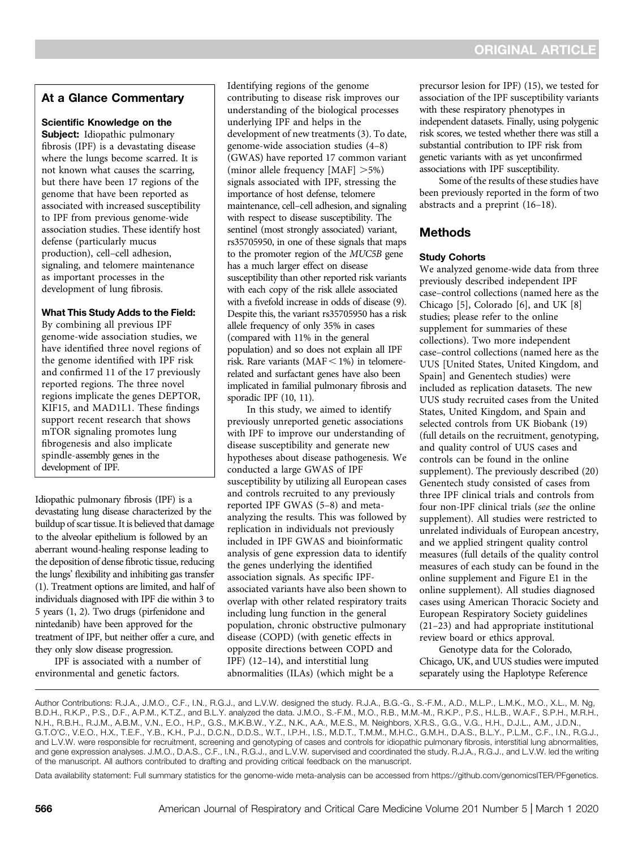# At a Glance Commentary

#### Scientific Knowledge on the

Subject: Idiopathic pulmonary fibrosis (IPF) is a devastating disease where the lungs become scarred. It is not known what causes the scarring, but there have been 17 regions of the genome that have been reported as associated with increased susceptibility to IPF from previous genome-wide association studies. These identify host defense (particularly mucus production), cell–cell adhesion, signaling, and telomere maintenance as important processes in the development of lung fibrosis.

#### What This Study Adds to the Field:

By combining all previous IPF genome-wide association studies, we have identified three novel regions of the genome identified with IPF risk and confirmed 11 of the 17 previously reported regions. The three novel regions implicate the genes DEPTOR, KIF15, and MAD1L1. These findings support recent research that shows mTOR signaling promotes lung fibrogenesis and also implicate spindle-assembly genes in the development of IPF.

Idiopathic pulmonary fibrosis (IPF) is a devastating lung disease characterized by the buildup of scar tissue. It is believed that damage to the alveolar epithelium is followed by an aberrant wound-healing response leading to the deposition of dense fibrotic tissue, reducing the lungs' flexibility and inhibiting gas transfer (1). Treatment options are limited, and half of individuals diagnosed with IPF die within 3 to 5 years (1, 2). Two drugs (pirfenidone and nintedanib) have been approved for the treatment of IPF, but neither offer a cure, and they only slow disease progression.

IPF is associated with a number of environmental and genetic factors.

Identifying regions of the genome contributing to disease risk improves our understanding of the biological processes underlying IPF and helps in the development of new treatments (3). To date, genome-wide association studies (4–8) (GWAS) have reported 17 common variant (minor allele frequency  $[MAF] > 5\%)$ signals associated with IPF, stressing the importance of host defense, telomere maintenance, cell–cell adhesion, and signaling with respect to disease susceptibility. The sentinel (most strongly associated) variant, rs35705950, in one of these signals that maps to the promoter region of the MUC5B gene has a much larger effect on disease susceptibility than other reported risk variants with each copy of the risk allele associated with a fivefold increase in odds of disease (9). Despite this, the variant rs35705950 has a risk allele frequency of only 35% in cases (compared with 11% in the general population) and so does not explain all IPF risk. Rare variants (MAF  $<$  1%) in telomererelated and surfactant genes have also been implicated in familial pulmonary fibrosis and sporadic IPF (10, 11).

In this study, we aimed to identify previously unreported genetic associations with IPF to improve our understanding of disease susceptibility and generate new hypotheses about disease pathogenesis. We conducted a large GWAS of IPF susceptibility by utilizing all European cases and controls recruited to any previously reported IPF GWAS (5–8) and metaanalyzing the results. This was followed by replication in individuals not previously included in IPF GWAS and bioinformatic analysis of gene expression data to identify the genes underlying the identified association signals. As specific IPFassociated variants have also been shown to overlap with other related respiratory traits including lung function in the general population, chronic obstructive pulmonary disease (COPD) (with genetic effects in opposite directions between COPD and IPF) (12–14), and interstitial lung abnormalities (ILAs) (which might be a

precursor lesion for IPF) (15), we tested for association of the IPF susceptibility variants with these respiratory phenotypes in independent datasets. Finally, using polygenic risk scores, we tested whether there was still a substantial contribution to IPF risk from genetic variants with as yet unconfirmed associations with IPF susceptibility.

Some of the results of these studies have been previously reported in the form of two abstracts and a preprint (16–18).

# Methods

#### Study Cohorts

We analyzed genome-wide data from three previously described independent IPF case–control collections (named here as the Chicago [5], Colorado [6], and UK [8] studies; please refer to the online supplement for summaries of these collections). Two more independent case–control collections (named here as the UUS [United States, United Kingdom, and Spain] and Genentech studies) were included as replication datasets. The new UUS study recruited cases from the United States, United Kingdom, and Spain and selected controls from UK Biobank (19) (full details on the recruitment, genotyping, and quality control of UUS cases and controls can be found in the online supplement). The previously described (20) Genentech study consisted of cases from three IPF clinical trials and controls from four non-IPF clinical trials (see the online supplement). All studies were restricted to unrelated individuals of European ancestry, and we applied stringent quality control measures (full details of the quality control measures of each study can be found in the online supplement and Figure E1 in the online supplement). All studies diagnosed cases using American Thoracic Society and European Respiratory Society guidelines (21–23) and had appropriate institutional review board or ethics approval.

Genotype data for the Colorado, Chicago, UK, and UUS studies were imputed separately using the Haplotype Reference

Author Contributions: R.J.A., J.M.O., C.F., I.N., R.G.J., and L.V.W. designed the study. R.J.A., B.G.-G., S.-F.M., A.D., M.L.P., L.M.K., M.O., X.L., M. Ng, B.D.H., R.K.P., P.S., D.F., A.P.M., K.T.Z., and B.L.Y. analyzed the data. J.M.O., S.-F.M., M.O., R.B., M.M.-M., R.K.P., P.S., H.L.B., W.A.F., S.P.H., M.R.H., N.H., R.B.H., R.J.M., A.B.M., V.N., E.O., H.P., G.S., M.K.B.W., Y.Z., N.K., A.A., M.E.S., M. Neighbors, X.R.S., G.G., V.G., H.H., D.J.L., A.M., J.D.N., G.T.O'C., V.E.O., H.X., T.E.F., Y.B., K.H., P.J., D.C.N., D.D.S., W.T., I.P.H., I.S., M.D.T., T.M.M., M.H.C., G.M.H., D.A.S., B.L.Y., P.L.M., C.F., I.N., R.G.J., and L.V.W. were responsible for recruitment, screening and genotyping of cases and controls for idiopathic pulmonary fibrosis, interstitial lung abnormalities, and gene expression analyses. J.M.O., D.A.S., C.F., I.N., R.G.J., and L.V.W. supervised and coordinated the study. R.J.A., R.G.J., and L.V.W. led the writing of the manuscript. All authors contributed to drafting and providing critical feedback on the manuscript.

Data availability statement: Full summary statistics for the genome-wide meta-analysis can be accessed from<https://github.com/genomicsITER/PFgenetics>.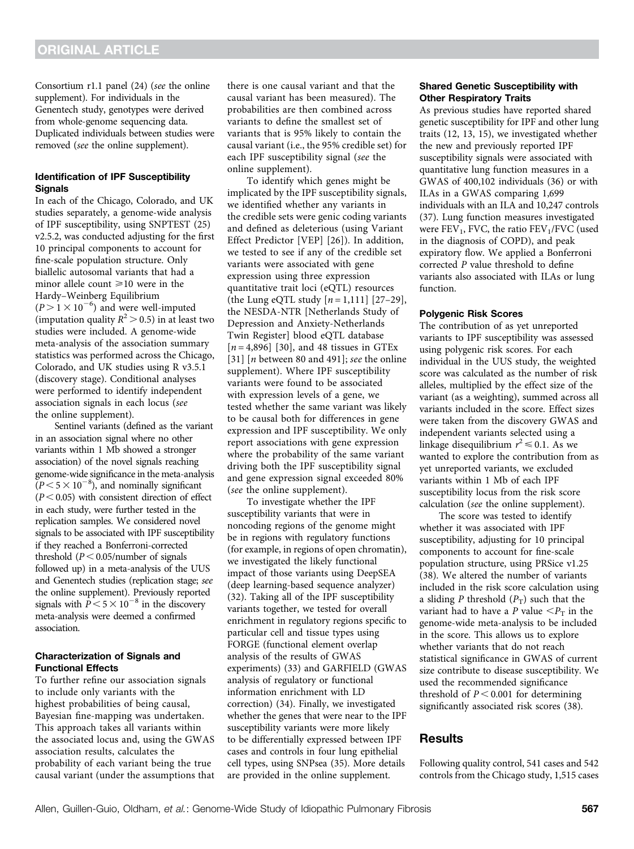Consortium r1.1 panel (24) (see the online supplement). For individuals in the Genentech study, genotypes were derived from whole-genome sequencing data. Duplicated individuals between studies were removed (see the online supplement).

#### Identification of IPF Susceptibility **Signals**

In each of the Chicago, Colorado, and UK studies separately, a genome-wide analysis of IPF susceptibility, using SNPTEST (25) v2.5.2, was conducted adjusting for the first 10 principal components to account for fine-scale population structure. Only biallelic autosomal variants that had a minor allele count  $\geq 10$  were in the Hardy–Weinberg Equilibrium  $(P > 1 \times 10^{-6})$  and were well-imputed (imputation quality  $R^2 > 0.5$ ) in at least two studies were included. A genome-wide meta-analysis of the association summary statistics was performed across the Chicago, Colorado, and UK studies using R v3.5.1 (discovery stage). Conditional analyses were performed to identify independent association signals in each locus (see the online supplement).

Sentinel variants (defined as the variant in an association signal where no other variants within 1 Mb showed a stronger association) of the novel signals reaching genome-wide significance in the meta-analysis  $(P<5\times10^{-8})$ , and nominally significant  $(P< 0.05)$  with consistent direction of effect in each study, were further tested in the replication samples. We considered novel signals to be associated with IPF susceptibility if they reached a Bonferroni-corrected threshold  $(P < 0.05$ /number of signals followed up) in a meta-analysis of the UUS and Genentech studies (replication stage; see the online supplement). Previously reported signals with  $P \le 5 \times 10^{-8}$  in the discovery meta-analysis were deemed a confirmed association.

#### Characterization of Signals and Functional Effects

To further refine our association signals to include only variants with the highest probabilities of being causal, Bayesian fine-mapping was undertaken. This approach takes all variants within the associated locus and, using the GWAS association results, calculates the probability of each variant being the true causal variant (under the assumptions that there is one causal variant and that the causal variant has been measured). The probabilities are then combined across variants to define the smallest set of variants that is 95% likely to contain the causal variant (i.e., the 95% credible set) for each IPF susceptibility signal (see the online supplement).

To identify which genes might be implicated by the IPF susceptibility signals, we identified whether any variants in the credible sets were genic coding variants and defined as deleterious (using Variant Effect Predictor [VEP] [26]). In addition, we tested to see if any of the credible set variants were associated with gene expression using three expression quantitative trait loci (eQTL) resources (the Lung eQTL study  $[n = 1, 111]$  [27–29], the NESDA-NTR [Netherlands Study of Depression and Anxiety-Netherlands Twin Register] blood eQTL database  $[n=4,896]$  [30], and 48 tissues in GTEx [31]  $[n]$  between 80 and 491]; see the online supplement). Where IPF susceptibility variants were found to be associated with expression levels of a gene, we tested whether the same variant was likely to be causal both for differences in gene expression and IPF susceptibility. We only report associations with gene expression where the probability of the same variant driving both the IPF susceptibility signal and gene expression signal exceeded 80% (see the online supplement).

To investigate whether the IPF susceptibility variants that were in noncoding regions of the genome might be in regions with regulatory functions (for example, in regions of open chromatin), we investigated the likely functional impact of those variants using DeepSEA (deep learning-based sequence analyzer) (32). Taking all of the IPF susceptibility variants together, we tested for overall enrichment in regulatory regions specific to particular cell and tissue types using FORGE (functional element overlap analysis of the results of GWAS experiments) (33) and GARFIELD (GWAS analysis of regulatory or functional information enrichment with LD correction) (34). Finally, we investigated whether the genes that were near to the IPF susceptibility variants were more likely to be differentially expressed between IPF cases and controls in four lung epithelial cell types, using SNPsea (35). More details are provided in the online supplement.

#### Shared Genetic Susceptibility with Other Respiratory Traits

As previous studies have reported shared genetic susceptibility for IPF and other lung traits (12, 13, 15), we investigated whether the new and previously reported IPF susceptibility signals were associated with quantitative lung function measures in a GWAS of 400,102 individuals (36) or with ILAs in a GWAS comparing 1,699 individuals with an ILA and 10,247 controls (37). Lung function measures investigated were  $FEV_1$ , FVC, the ratio  $FEV_1/FVC$  (used in the diagnosis of COPD), and peak expiratory flow. We applied a Bonferroni corrected P value threshold to define variants also associated with ILAs or lung function.

#### Polygenic Risk Scores

The contribution of as yet unreported variants to IPF susceptibility was assessed using polygenic risk scores. For each individual in the UUS study, the weighted score was calculated as the number of risk alleles, multiplied by the effect size of the variant (as a weighting), summed across all variants included in the score. Effect sizes were taken from the discovery GWAS and independent variants selected using a linkage disequilibrium  $r^2 \le 0.1$ . As we wanted to explore the contribution from as yet unreported variants, we excluded variants within 1 Mb of each IPF susceptibility locus from the risk score calculation (see the online supplement).

The score was tested to identify whether it was associated with IPF susceptibility, adjusting for 10 principal components to account for fine-scale population structure, using PRSice v1.25 (38). We altered the number of variants included in the risk score calculation using a sliding P threshold  $(P_T)$  such that the variant had to have a P value  $\langle P_{\rm T} \rangle$  in the genome-wide meta-analysis to be included in the score. This allows us to explore whether variants that do not reach statistical significance in GWAS of current size contribute to disease susceptibility. We used the recommended significance threshold of  $P < 0.001$  for determining significantly associated risk scores (38).

### Results

Following quality control, 541 cases and 542 controls from the Chicago study, 1,515 cases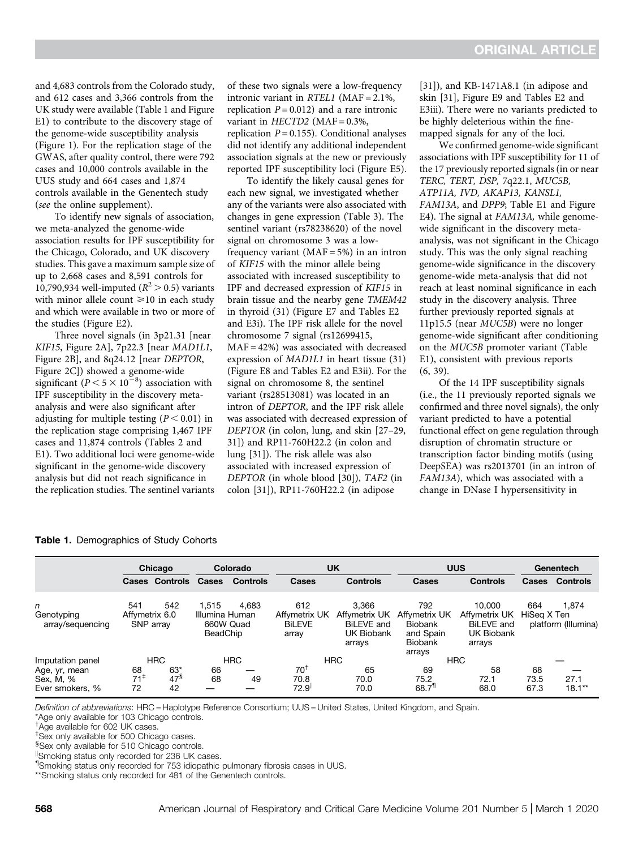and 4,683 controls from the Colorado study, and 612 cases and 3,366 controls from the UK study were available (Table 1 and Figure E1) to contribute to the discovery stage of the genome-wide susceptibility analysis (Figure 1). For the replication stage of the GWAS, after quality control, there were 792 cases and 10,000 controls available in the UUS study and 664 cases and 1,874 controls available in the Genentech study (see the online supplement).

To identify new signals of association, we meta-analyzed the genome-wide association results for IPF susceptibility for the Chicago, Colorado, and UK discovery studies. This gave a maximum sample size of up to 2,668 cases and 8,591 controls for 10,790,934 well-imputed ( $R^2 > 0.5$ ) variants with minor allele count  $\geq 10$  in each study and which were available in two or more of the studies (Figure E2).

Three novel signals (in 3p21.31 [near KIF15, Figure 2A], 7p22.3 [near MAD1L1, Figure 2B], and 8q24.12 [near DEPTOR, Figure 2C]) showed a genome-wide significant  $(P < 5 \times 10^{-8})$  association with IPF susceptibility in the discovery metaanalysis and were also significant after adjusting for multiple testing  $(P < 0.01)$  in the replication stage comprising 1,467 IPF cases and 11,874 controls (Tables 2 and E1). Two additional loci were genome-wide significant in the genome-wide discovery analysis but did not reach significance in the replication studies. The sentinel variants of these two signals were a low-frequency intronic variant in RTEL1 (MAF = 2.1%, replication  $P = 0.012$ ) and a rare intronic variant in  $HECTD2$  (MAF = 0.3%, replication  $P = 0.155$ ). Conditional analyses did not identify any additional independent association signals at the new or previously reported IPF susceptibility loci (Figure E5).

To identify the likely causal genes for each new signal, we investigated whether any of the variants were also associated with changes in gene expression (Table 3). The sentinel variant (rs78238620) of the novel signal on chromosome 3 was a lowfrequency variant  $(MAF = 5%)$  in an intron of KIF15 with the minor allele being associated with increased susceptibility to IPF and decreased expression of KIF15 in brain tissue and the nearby gene TMEM42 in thyroid (31) (Figure E7 and Tables E2 and E3i). The IPF risk allele for the novel chromosome 7 signal (rs12699415, MAF = 42%) was associated with decreased expression of MAD1L1 in heart tissue (31) (Figure E8 and Tables E2 and E3ii). For the signal on chromosome 8, the sentinel variant (rs28513081) was located in an intron of DEPTOR, and the IPF risk allele was associated with decreased expression of DEPTOR (in colon, lung, and skin [27–29, 31]) and RP11-760H22.2 (in colon and lung [31]). The risk allele was also associated with increased expression of DEPTOR (in whole blood [30]), TAF2 (in colon [31]), RP11-760H22.2 (in adipose

[31]), and KB-1471A8.1 (in adipose and skin [31], Figure E9 and Tables E2 and E3iii). There were no variants predicted to be highly deleterious within the finemapped signals for any of the loci.

We confirmed genome-wide significant associations with IPF susceptibility for 11 of the 17 previously reported signals (in or near TERC, TERT, DSP, 7q22.1, MUC5B, ATP11A, IVD, AKAP13, KANSL1, FAM13A, and DPP9; Table E1 and Figure E4). The signal at FAM13A, while genomewide significant in the discovery metaanalysis, was not significant in the Chicago study. This was the only signal reaching genome-wide significance in the discovery genome-wide meta-analysis that did not reach at least nominal significance in each study in the discovery analysis. Three further previously reported signals at 11p15.5 (near MUC5B) were no longer genome-wide significant after conditioning on the MUC5B promoter variant (Table E1), consistent with previous reports (6, 39).

Of the 14 IPF susceptibility signals (i.e., the 11 previously reported signals we confirmed and three novel signals), the only variant predicted to have a potential functional effect on gene regulation through disruption of chromatin structure or transcription factor binding motifs (using DeepSEA) was rs2013701 (in an intron of FAM13A), which was associated with a change in DNase I hypersensitivity in

|                                               |                             | Chicago                     |                            | Colorado        |                                         | <b>UK</b>                                                  |                                                                          | <b>UUS</b>                                          |                    | Genentech           |
|-----------------------------------------------|-----------------------------|-----------------------------|----------------------------|-----------------|-----------------------------------------|------------------------------------------------------------|--------------------------------------------------------------------------|-----------------------------------------------------|--------------------|---------------------|
|                                               |                             | <b>Cases Controls</b>       | <b>Cases</b>               | <b>Controls</b> | Cases                                   | <b>Controls</b>                                            | <b>Cases</b>                                                             | <b>Controls</b>                                     | <b>Cases</b>       | <b>Controls</b>     |
| n                                             | 541                         | 542                         | 1,515                      | 4.683           | 612                                     | 3.366                                                      | 792                                                                      | 10.000                                              | 664                | 1.874               |
| Genotyping<br>array/sequencing                | Affymetrix 6.0              | SNP array                   | Illumina Human<br>BeadChip | 660W Quad       | Affymetrix UK<br><b>BILEVE</b><br>array | Affymetrix UK<br>BiLEVE and<br><b>UK Biobank</b><br>arrays | Affymetrix UK<br><b>Biobank</b><br>and Spain<br><b>Biobank</b><br>arrays | Affymetrix UK<br>BiLEVE and<br>UK Biobank<br>arrays | HiSeg X Ten        | platform (Illumina) |
| Imputation panel                              |                             | <b>HRC</b>                  |                            | <b>HRC</b>      |                                         | <b>HRC</b>                                                 |                                                                          | <b>HRC</b>                                          |                    |                     |
| Age, yr, mean<br>Sex, M, %<br>Ever smokers, % | 68<br>$71^{\ddagger}$<br>72 | $63*$<br>$47^{\circ}$<br>42 | 66<br>68                   | 49              | $70^{\dagger}$<br>70.8<br>72.9          | 65<br>70.0<br>70.0                                         | 69<br>75.2<br>$68.7$ <sup>11</sup>                                       | 58<br>72.1<br>68.0                                  | 68<br>73.5<br>67.3 | 27.1<br>$18.1**$    |

Table 1. Demographics of Study Cohorts

Definition of abbreviations: HRC = Haplotype Reference Consortium; UUS = United States, United Kingdom, and Spain.

\*Age only available for 103 Chicago controls.

† Age available for 602 UK cases.

‡ Sex only available for 500 Chicago cases.

Sex only available for 510 Chicago controls.

"Smoking status only recorded for 236 UK cases.

¶ Smoking status only recorded for 753 idiopathic pulmonary fibrosis cases in UUS.

\*\*Smoking status only recorded for 481 of the Genentech controls.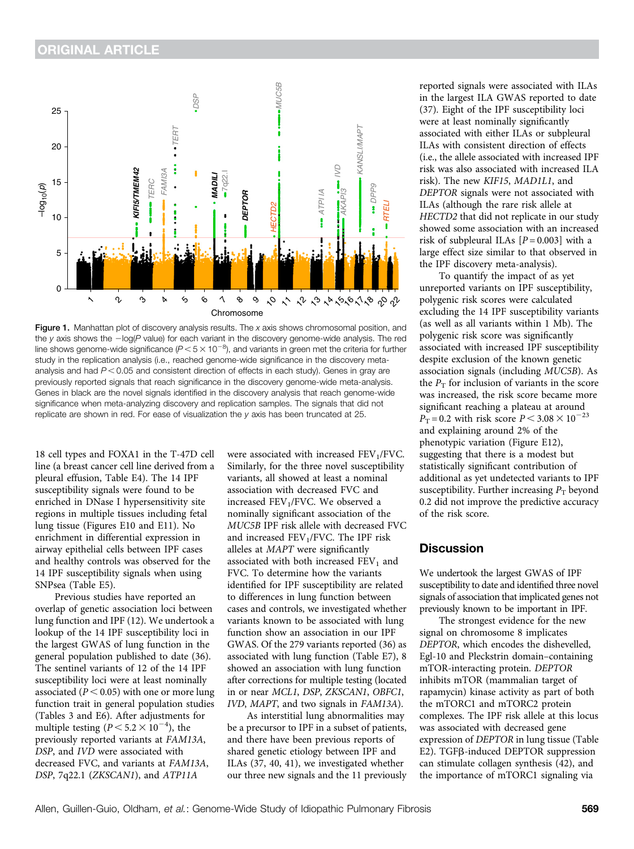

Figure 1. Manhattan plot of discovery analysis results. The  $x$  axis shows chromosomal position, and the y axis shows the  $-\log(P)$  value) for each variant in the discovery genome-wide analysis. The red line shows genome-wide significance ( $P$  < 5  $\times$  10<sup>-8</sup>), and variants in green met the criteria for further study in the replication analysis (i.e., reached genome-wide significance in the discovery metaanalysis and had  $P < 0.05$  and consistent direction of effects in each study). Genes in gray are previously reported signals that reach significance in the discovery genome-wide meta-analysis. Genes in black are the novel signals identified in the discovery analysis that reach genome-wide significance when meta-analyzing discovery and replication samples. The signals that did not replicate are shown in red. For ease of visualization the y axis has been truncated at 25.

18 cell types and FOXA1 in the T-47D cell line (a breast cancer cell line derived from a pleural effusion, Table E4). The 14 IPF susceptibility signals were found to be enriched in DNase I hypersensitivity site regions in multiple tissues including fetal lung tissue (Figures E10 and E11). No enrichment in differential expression in airway epithelial cells between IPF cases and healthy controls was observed for the 14 IPF susceptibility signals when using SNPsea (Table E5).

Previous studies have reported an overlap of genetic association loci between lung function and IPF (12). We undertook a lookup of the 14 IPF susceptibility loci in the largest GWAS of lung function in the general population published to date (36). The sentinel variants of 12 of the 14 IPF susceptibility loci were at least nominally associated ( $P < 0.05$ ) with one or more lung function trait in general population studies (Tables 3 and E6). After adjustments for multiple testing  $(P < 5.2 \times 10^{-4})$ , the previously reported variants at FAM13A, DSP, and IVD were associated with decreased FVC, and variants at FAM13A, DSP, 7q22.1 (ZKSCAN1), and ATP11A

were associated with increased  $FEV<sub>1</sub>/FVC$ . Similarly, for the three novel susceptibility variants, all showed at least a nominal association with decreased FVC and increased FEV<sub>1</sub>/FVC. We observed a nominally significant association of the MUC5B IPF risk allele with decreased FVC and increased  $FEV<sub>1</sub>/FVC$ . The IPF risk alleles at MAPT were significantly associated with both increased  $FEV<sub>1</sub>$  and FVC. To determine how the variants identified for IPF susceptibility are related to differences in lung function between cases and controls, we investigated whether variants known to be associated with lung function show an association in our IPF GWAS. Of the 279 variants reported (36) as associated with lung function (Table E7), 8 showed an association with lung function after corrections for multiple testing (located in or near MCL1, DSP, ZKSCAN1, OBFC1, IVD, MAPT, and two signals in FAM13A).

As interstitial lung abnormalities may be a precursor to IPF in a subset of patients, and there have been previous reports of shared genetic etiology between IPF and ILAs (37, 40, 41), we investigated whether our three new signals and the 11 previously

reported signals were associated with ILAs in the largest ILA GWAS reported to date (37). Eight of the IPF susceptibility loci were at least nominally significantly associated with either ILAs or subpleural ILAs with consistent direction of effects (i.e., the allele associated with increased IPF risk was also associated with increased ILA risk). The new KIF15, MAD1L1, and DEPTOR signals were not associated with ILAs (although the rare risk allele at HECTD2 that did not replicate in our study showed some association with an increased risk of subpleural ILAs  $[P = 0.003]$  with a large effect size similar to that observed in the IPF discovery meta-analysis).

To quantify the impact of as yet unreported variants on IPF susceptibility, polygenic risk scores were calculated excluding the 14 IPF susceptibility variants (as well as all variants within 1 Mb). The polygenic risk score was significantly associated with increased IPF susceptibility despite exclusion of the known genetic association signals (including MUC5B). As the  $P_T$  for inclusion of variants in the score was increased, the risk score became more significant reaching a plateau at around  $P_T = 0.2$  with risk score  $P < 3.08 \times 10^{-23}$ and explaining around 2% of the phenotypic variation (Figure E12), suggesting that there is a modest but statistically significant contribution of additional as yet undetected variants to IPF susceptibility. Further increasing  $P_T$  beyond 0.2 did not improve the predictive accuracy of the risk score.

# **Discussion**

We undertook the largest GWAS of IPF susceptibility to date and identified three novel signals of association that implicated genes not previously known to be important in IPF.

The strongest evidence for the new signal on chromosome 8 implicates DEPTOR, which encodes the dishevelled, Egl-10 and Pleckstrin domain–containing mTOR-interacting protein. DEPTOR inhibits mTOR (mammalian target of rapamycin) kinase activity as part of both the mTORC1 and mTORC2 protein complexes. The IPF risk allele at this locus was associated with decreased gene expression of DEPTOR in lung tissue (Table E2). TGFβ-induced DEPTOR suppression can stimulate collagen synthesis (42), and the importance of mTORC1 signaling via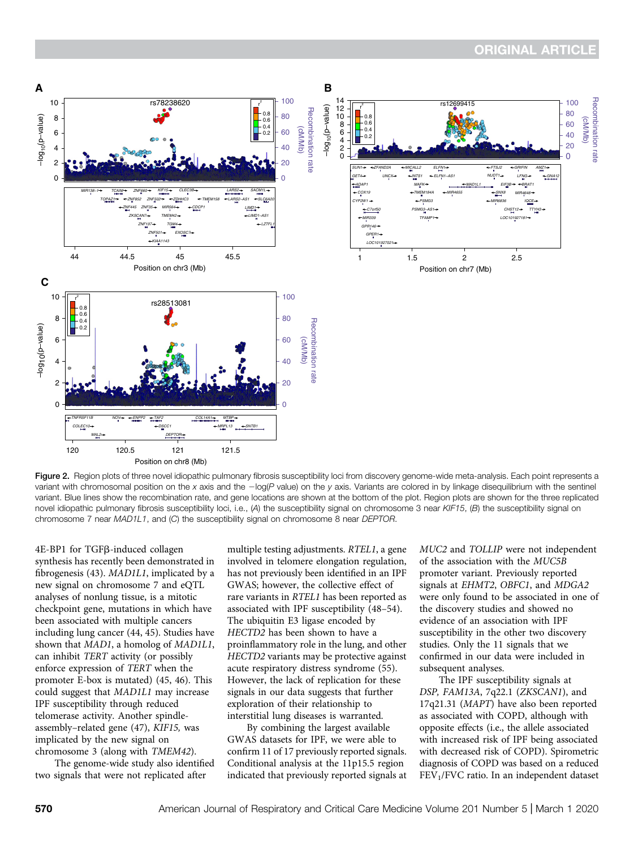

Figure 2. Region plots of three novel idiopathic pulmonary fibrosis susceptibility loci from discovery genome-wide meta-analysis. Each point represents a variant with chromosomal position on the x axis and the  $-\log(P)$  value) on the y axis. Variants are colored in by linkage disequilibrium with the sentinel variant. Blue lines show the recombination rate, and gene locations are shown at the bottom of the plot. Region plots are shown for the three replicated novel idiopathic pulmonary fibrosis susceptibility loci, i.e.,  $(A)$  the susceptibility signal on chromosome 3 near KIF15,  $(B)$  the susceptibility signal on chromosome 7 near MAD1L1, and (C) the susceptibility signal on chromosome 8 near DEPTOR.

4E-BP1 for TGFβ-induced collagen synthesis has recently been demonstrated in fibrogenesis (43). MAD1L1, implicated by a new signal on chromosome 7 and eQTL analyses of nonlung tissue, is a mitotic checkpoint gene, mutations in which have been associated with multiple cancers including lung cancer (44, 45). Studies have shown that MAD1, a homolog of MAD1L1, can inhibit TERT activity (or possibly enforce expression of TERT when the promoter E-box is mutated) (45, 46). This could suggest that MAD1L1 may increase IPF susceptibility through reduced telomerase activity. Another spindleassembly–related gene (47), KIF15, was implicated by the new signal on chromosome 3 (along with TMEM42).

The genome-wide study also identified two signals that were not replicated after

multiple testing adjustments. RTEL1, a gene involved in telomere elongation regulation, has not previously been identified in an IPF GWAS; however, the collective effect of rare variants in RTEL1 has been reported as associated with IPF susceptibility (48–54). The ubiquitin E3 ligase encoded by HECTD2 has been shown to have a proinflammatory role in the lung, and other HECTD2 variants may be protective against acute respiratory distress syndrome (55). However, the lack of replication for these signals in our data suggests that further exploration of their relationship to interstitial lung diseases is warranted.

By combining the largest available GWAS datasets for IPF, we were able to confirm 11 of 17 previously reported signals. Conditional analysis at the 11p15.5 region indicated that previously reported signals at MUC2 and TOLLIP were not independent of the association with the MUC5B promoter variant. Previously reported signals at EHMT2, OBFC1, and MDGA2 were only found to be associated in one of the discovery studies and showed no evidence of an association with IPF susceptibility in the other two discovery studies. Only the 11 signals that we confirmed in our data were included in subsequent analyses.

The IPF susceptibility signals at DSP, FAM13A, 7q22.1 (ZKSCAN1), and 17q21.31 (MAPT) have also been reported as associated with COPD, although with opposite effects (i.e., the allele associated with increased risk of IPF being associated with decreased risk of COPD). Spirometric diagnosis of COPD was based on a reduced FEV1/FVC ratio. In an independent dataset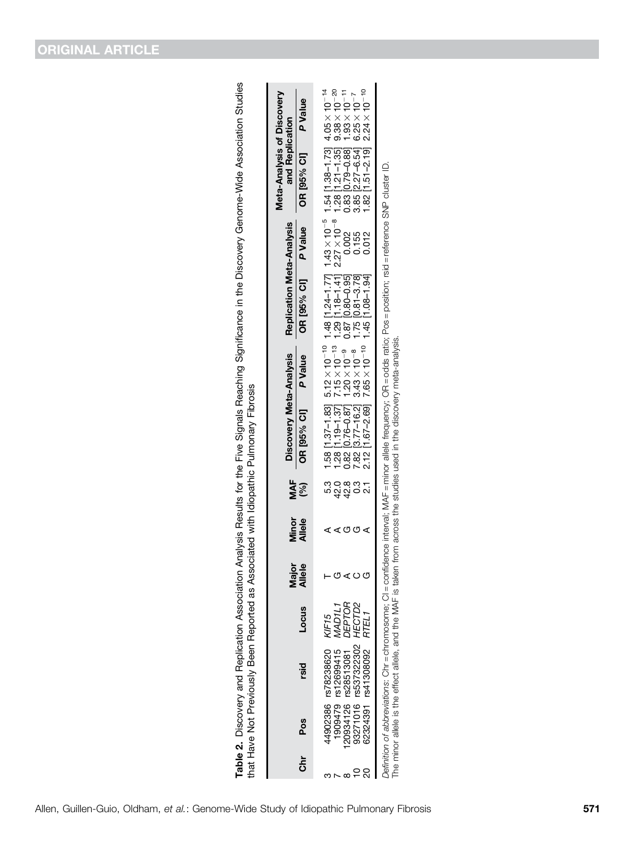| $\frac{2}{3}$<br>1<br>۔<br>}<br>å<br>$\frac{1}{1}$<br>.<br>Coco<br>ייני בי בייני ה<br>$\overline{ }$           |               |
|----------------------------------------------------------------------------------------------------------------|---------------|
|                                                                                                                |               |
| ົ້                                                                                                             |               |
| Í                                                                                                              | Í             |
| ֧֦֧֦֧֧֧֧֦֧֦֧ׅ֧֧֧֧֧֧֧֧֧֧֛֛֛֛֛֛֛֛֛֛֛֛֛֛֛֛֛֛֛֚֚֚֚֚֚֚֚֚֚֚֚֚֚֚֚֝֝֝֝֝֝֓֕֝֕֝֬֝֬֝֝֓֝֬֝֓֝֓֝֬֝֬֝֬֝֬֝֬֝֬֝֬֝֬֝֬֝֬֜֝֬֜֜֜֜֜֜ |               |
| Analvsis Resul<br>ı                                                                                            |               |
|                                                                                                                | ĺ             |
|                                                                                                                | an ac dea     |
| ֦                                                                                                              | ı             |
| Í<br>ı                                                                                                         | $\frac{1}{2}$ |
| -<br>-<br>-<br>j                                                                                               | į             |
| $\mathsf{L}$<br>Ï                                                                                              |               |
| <br> }<br> }                                                                                                   | $\frac{1}{2}$ |

| خ<br>5 | Pos | rsid                                                                                                            | Locus                                        | $\mathbf{\Omega}$<br>naj<br>Allei | Minor<br>Allele | MAF<br>(%) | Discovery Meta-Analysis<br>OR [95% CI] P Value                                                                                                                                                                                                                                                                                                                                        | <b>Replication Meta-Analysis</b><br>OR [95% CI] P Value | <b>Meta-Analysis of Discovery</b><br>and Replication<br>OR [95% CI] | <b>P Value</b> |
|--------|-----|-----------------------------------------------------------------------------------------------------------------|----------------------------------------------|-----------------------------------|-----------------|------------|---------------------------------------------------------------------------------------------------------------------------------------------------------------------------------------------------------------------------------------------------------------------------------------------------------------------------------------------------------------------------------------|---------------------------------------------------------|---------------------------------------------------------------------|----------------|
|        |     | 93271016 rs537322302<br>44902386 rs78238620<br>20934126 rs28513081<br>62324391 rs41308092<br>1909479 rs12699415 | DEPTOR<br>KIF15<br>MAD1L1<br>HECTD2<br>RTEL1 | ι                                 | O<br>O          |            | 5.3 1.58 [1.37-1.83] 5.12 $\times$ 10 <sup>-10</sup> 1.48 [1.24-1.77] 1.43 $\times$ 10 <sup>-5</sup> 1.54 [1.38-1.73] 4.05 $\times$ 10 <sup>-14</sup><br>42.0 1.28 [1.19-1.37] 7.15 $\times$ 10 <sup>-13</sup> 1.29 [1.18-1.41] 2.27 $\times$ 10 <sup>-8</sup> 1.28 [1.21-1.35] 9.38 $\times$ 10 <sup>-20</sup><br>42.8<br>$2.12$ [1.67-2.69] $7.65 \times 10^{-10}$ 1.45 [1.08-1.94] |                                                         | $1.82$ [1.51-2.19] $2.24 \times 10^{-10}$                           |                |
|        |     |                                                                                                                 |                                              |                                   |                 |            | Definition of abbreviations: Chr = chromosome; Cl = confidence interval; MAF = minor allele frequency; CR = odds ratio; Pos = position; rsid = reference SNP cluster ID.<br>The minor allele is the effect allele, and the MAF is taken from across the studies used in the discovery meta-analysis.                                                                                  |                                                         |                                                                     |                |

Allen, Guillen-Guio, Oldham, et al.: Genome-Wide Study of Idiopathic Pulmonary Fibrosis 571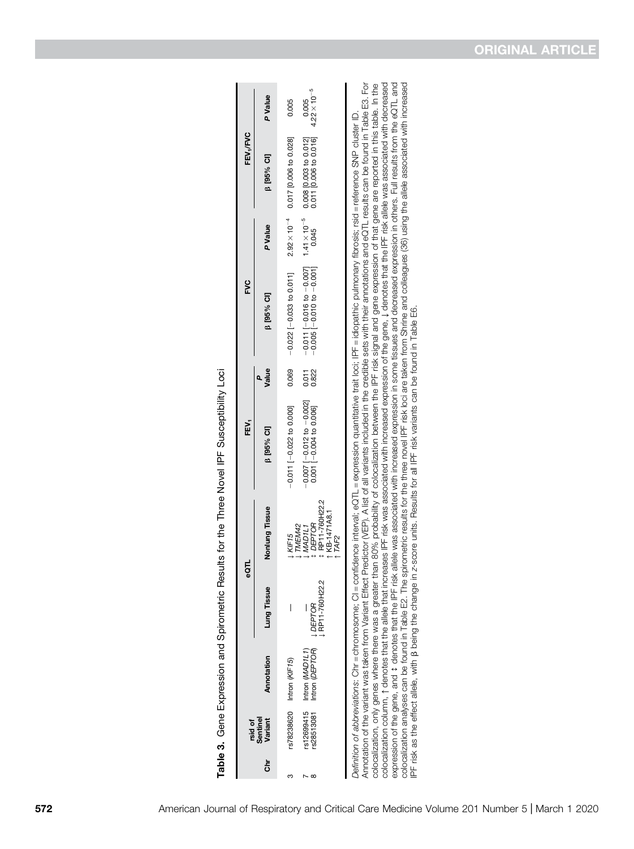Table 3. Gene Expression and Spirometric Results for the Three Novel IPF Susceptibility Loci Table 3. Gene Expression and Spirometric Results for the Three Novel IPF Susceptibility Loci

|    | rsid of                 |                                    | င္ဖ                             |                                                                                     | ĔP.                                                                                                                                                                                  |                | S<br>S                                                                                                                                                                                                                                                                                                                                                                                           |         | FEV <sub>1</sub> /FVC                        |                                |
|----|-------------------------|------------------------------------|---------------------------------|-------------------------------------------------------------------------------------|--------------------------------------------------------------------------------------------------------------------------------------------------------------------------------------|----------------|--------------------------------------------------------------------------------------------------------------------------------------------------------------------------------------------------------------------------------------------------------------------------------------------------------------------------------------------------------------------------------------------------|---------|----------------------------------------------|--------------------------------|
| ຮ້ | Sentinel<br>Variant     | Annotation                         | <b>Lung Tissue</b>              | Nonlung Tissue                                                                      | <b>B</b> [95% CI]                                                                                                                                                                    | Value          | <b>B</b> [95% CI]                                                                                                                                                                                                                                                                                                                                                                                | P Value | <b>B</b> [95% CI]                            | P Value                        |
|    |                         | rs78238620 Intron (KIF15)          | I                               | <b>LKIF15</b>                                                                       | $-0.011$ [ $-0.022$ to 0.000]                                                                                                                                                        | 0.069          | $-0.022$ [ $-0.033$ to 0.011]                                                                                                                                                                                                                                                                                                                                                                    |         | $2.92 \times 10^{-4}$ 0.017 [0.006 to 0.028] | 0.005                          |
| œ  | s12699415<br>\$28513081 | Intron (DEPTOR)<br>Intron (MAD1L1) | RP11-760H22.2<br><b>LDEPTOR</b> | ‡ RP11-760H22.2<br>KB-1471A8.1<br><b>1 DEPTOR</b><br>I TMEM42<br>MAD <sub>1L1</sub> | $-0.007$ [ $-0.012$ to $-0.002$ ]<br>0.001 -0.004 to 0.006                                                                                                                           | 0.822<br>0.822 | $-0.011$ $[-0.016$ to $-0.007]$ $1.41 \times 10^{-5}$ 0.008 [0.003 to 0.012]<br>$-0.005$ $[-0.010$ to $-0.001]$ 0.045 0.011 [0.006 to 0.016]                                                                                                                                                                                                                                                     |         |                                              | $4.22 \times 10^{-5}$<br>0.005 |
|    |                         |                                    |                                 | TAF2                                                                                |                                                                                                                                                                                      |                |                                                                                                                                                                                                                                                                                                                                                                                                  |         |                                              |                                |
|    |                         |                                    |                                 |                                                                                     | colocalization only agos where there a meater than 80% probability of colocalization between the IPF risk cinnal and neper expression of that nene are reported in this table In the |                | Annotation of the variant was taken from Variant Effect Predictor (VEP). A list of all variants included in the credible sets with their annotations and eQTL results can be found in Table E3. For<br>Definition of abbreviations: Chr = chromosome; Cl = confidence interval; eQTL = expression quantitative trait loci; IPF = idiopathic pulmonary fibrosis; rsid = reference SNP cluster ID. |         |                                              |                                |

coperation analyses can be found in Table E2. The spirometric results for all IPF risk variants can be found in Table E6.<br>Colocalization analyses can be found in Table E2. The spirometric results for the friee nowel IPF ri colocalization, only genes where there was a greater than 80% probability of colocalization between the IPF risk signal and gene expression of that gene are reported in this table. In the<br>colocalization column, ↑ denotes t expression of the gene, and 1 denotes that the IPF risk allele was associated with increased expression in some tissues and decreased expression in others. Full results from the eQTL and colocalization column, ↑ denotes that the allele that increases IPF risk was associated with increased expression of the gene, ↓ denotes that the IPF risk allele was associated with decreased expression of the gene, and  $t$  denotes that the IPF risk allele was associated with increased expression in some tissues and decreased expression in others. Full results from the eQTL and colocalization analyses can be found in Table E2. The spirometric results for the three novel IPF risk loci are taken from Shrine and colleagues (36) using the allele associated with increased colocalization, only genes where there was a greater than 80% probability of colocalization between the IPF risk signal and gene expression of that gene are reported in this table. In the IPF risk as the effect allele, with b being the change in z-score units. Results for all IPF risk variants can be found in Table E6.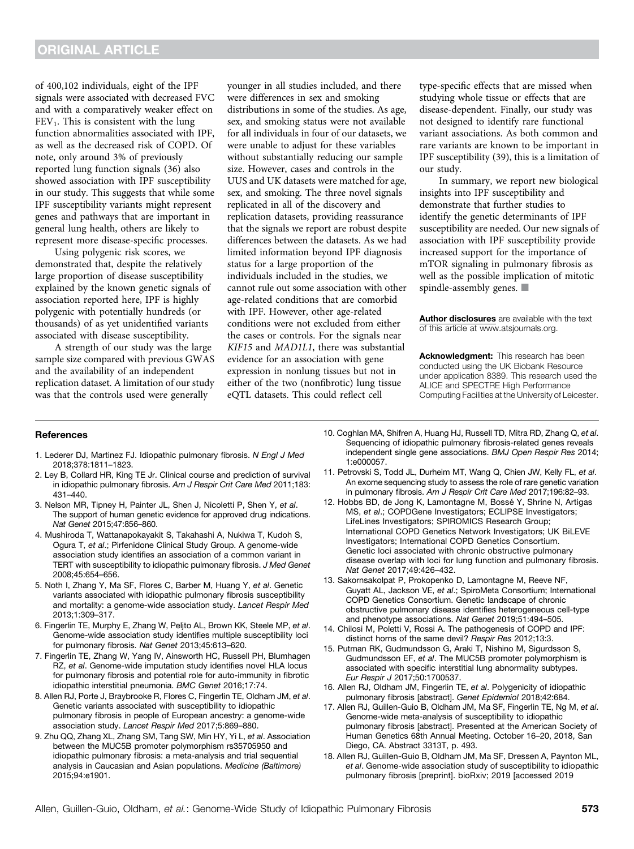of 400,102 individuals, eight of the IPF signals were associated with decreased FVC and with a comparatively weaker effect on  $FEV<sub>1</sub>$ . This is consistent with the lung function abnormalities associated with IPF, as well as the decreased risk of COPD. Of note, only around 3% of previously reported lung function signals (36) also showed association with IPF susceptibility in our study. This suggests that while some IPF susceptibility variants might represent genes and pathways that are important in general lung health, others are likely to represent more disease-specific processes.

Using polygenic risk scores, we demonstrated that, despite the relatively large proportion of disease susceptibility explained by the known genetic signals of association reported here, IPF is highly polygenic with potentially hundreds (or thousands) of as yet unidentified variants associated with disease susceptibility.

A strength of our study was the large sample size compared with previous GWAS and the availability of an independent replication dataset. A limitation of our study was that the controls used were generally

younger in all studies included, and there were differences in sex and smoking distributions in some of the studies. As age, sex, and smoking status were not available for all individuals in four of our datasets, we were unable to adjust for these variables without substantially reducing our sample size. However, cases and controls in the UUS and UK datasets were matched for age, sex, and smoking. The three novel signals replicated in all of the discovery and replication datasets, providing reassurance that the signals we report are robust despite differences between the datasets. As we had limited information beyond IPF diagnosis status for a large proportion of the individuals included in the studies, we cannot rule out some association with other age-related conditions that are comorbid with IPF. However, other age-related conditions were not excluded from either the cases or controls. For the signals near KIF15 and MAD1L1, there was substantial evidence for an association with gene expression in nonlung tissues but not in either of the two (nonfibrotic) lung tissue eQTL datasets. This could reflect cell

type-specific effects that are missed when studying whole tissue or effects that are disease-dependent. Finally, our study was not designed to identify rare functional variant associations. As both common and rare variants are known to be important in IPF susceptibility (39), this is a limitation of our study.

In summary, we report new biological insights into IPF susceptibility and demonstrate that further studies to identify the genetic determinants of IPF susceptibility are needed. Our new signals of association with IPF susceptibility provide increased support for the importance of mTOR signaling in pulmonary fibrosis as well as the possible implication of mitotic spindle-assembly genes.  $\blacksquare$ 

[Author disclosures](http://www.atsjournals.org/doi/suppl/10.1164/rccm.201905-1017OC/suppl_file/disclosures.pdf) are available with the text of this article at [www.atsjournals.org.](http://www.atsjournals.org)

Acknowledgment: This research has been conducted using the UK Biobank Resource under application 8389. This research used the ALICE and SPECTRE High Performance Computing Facilities at the University of Leicester.

#### **References**

- 1. Lederer DJ, Martinez FJ. Idiopathic pulmonary fibrosis. N Engl J Med 2018;378:1811–1823.
- 2. Ley B, Collard HR, King TE Jr. Clinical course and prediction of survival in idiopathic pulmonary fibrosis. Am J Respir Crit Care Med 2011;183: 431–440.
- 3. Nelson MR, Tipney H, Painter JL, Shen J, Nicoletti P, Shen Y, et al. The support of human genetic evidence for approved drug indications. Nat Genet 2015;47:856–860.
- 4. Mushiroda T, Wattanapokayakit S, Takahashi A, Nukiwa T, Kudoh S, Ogura T, et al.; Pirfenidone Clinical Study Group. A genome-wide association study identifies an association of a common variant in TERT with susceptibility to idiopathic pulmonary fibrosis. J Med Genet 2008;45:654–656.
- 5. Noth I, Zhang Y, Ma SF, Flores C, Barber M, Huang Y, et al. Genetic variants associated with idiopathic pulmonary fibrosis susceptibility and mortality: a genome-wide association study. Lancet Respir Med 2013;1:309–317.
- 6. Fingerlin TE, Murphy E, Zhang W, Peljto AL, Brown KK, Steele MP, et al. Genome-wide association study identifies multiple susceptibility loci for pulmonary fibrosis. Nat Genet 2013;45:613–620.
- 7. Fingerlin TE, Zhang W, Yang IV, Ainsworth HC, Russell PH, Blumhagen RZ, et al. Genome-wide imputation study identifies novel HLA locus for pulmonary fibrosis and potential role for auto-immunity in fibrotic idiopathic interstitial pneumonia. BMC Genet 2016;17:74.
- 8. Allen RJ, Porte J, Braybrooke R, Flores C, Fingerlin TE, Oldham JM, et al. Genetic variants associated with susceptibility to idiopathic pulmonary fibrosis in people of European ancestry: a genome-wide association study. Lancet Respir Med 2017;5:869–880.
- 9. Zhu QQ, Zhang XL, Zhang SM, Tang SW, Min HY, Yi L, et al. Association between the MUC5B promoter polymorphism rs35705950 and idiopathic pulmonary fibrosis: a meta-analysis and trial sequential analysis in Caucasian and Asian populations. Medicine (Baltimore) 2015;94:e1901.
- 10. Coghlan MA, Shifren A, Huang HJ, Russell TD, Mitra RD, Zhang Q, et al. Sequencing of idiopathic pulmonary fibrosis-related genes reveals independent single gene associations. BMJ Open Respir Res 2014; 1:e000057.
- 11. Petrovski S, Todd JL, Durheim MT, Wang Q, Chien JW, Kelly FL, et al. An exome sequencing study to assess the role of rare genetic variation in pulmonary fibrosis. Am J Respir Crit Care Med 2017;196:82-93.
- 12. Hobbs BD, de Jong K, Lamontagne M, Bossé Y, Shrine N, Artigas MS, et al.; COPDGene Investigators; ECLIPSE Investigators; LifeLines Investigators; SPIROMICS Research Group; International COPD Genetics Network Investigators; UK BiLEVE Investigators; International COPD Genetics Consortium. Genetic loci associated with chronic obstructive pulmonary disease overlap with loci for lung function and pulmonary fibrosis. Nat Genet 2017;49:426–432.
- 13. Sakornsakolpat P, Prokopenko D, Lamontagne M, Reeve NF, Guyatt AL, Jackson VE, et al.; SpiroMeta Consortium; International COPD Genetics Consortium. Genetic landscape of chronic obstructive pulmonary disease identifies heterogeneous cell-type and phenotype associations. Nat Genet 2019;51:494–505.
- 14. Chilosi M, Poletti V, Rossi A. The pathogenesis of COPD and IPF: distinct horns of the same devil? Respir Res 2012;13:3.
- 15. Putman RK, Gudmundsson G, Araki T, Nishino M, Sigurdsson S, Gudmundsson EF, et al. The MUC5B promoter polymorphism is associated with specific interstitial lung abnormality subtypes. Eur Respir J 2017;50:1700537.
- 16. Allen RJ, Oldham JM, Fingerlin TE, et al. Polygenicity of idiopathic pulmonary fibrosis [abstract]. Genet Epidemiol 2018;42:684.
- 17. Allen RJ, Guillen-Guio B, Oldham JM, Ma SF, Fingerlin TE, Ng M, et al. Genome-wide meta-analysis of susceptibility to idiopathic pulmonary fibrosis [abstract]. Presented at the American Society of Human Genetics 68th Annual Meeting. October 16–20, 2018, San Diego, CA. Abstract 3313T, p. 493.
- 18. Allen RJ, Guillen-Guio B, Oldham JM, Ma SF, Dressen A, Paynton ML, et al. Genome-wide association study of susceptibility to idiopathic pulmonary fibrosis [preprint]. bioRxiv; 2019 [accessed 2019